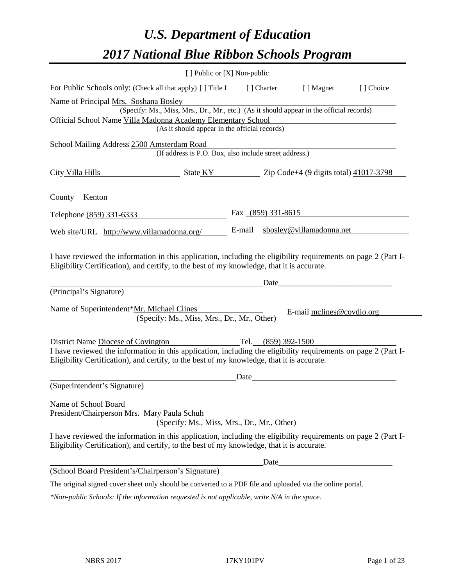# *U.S. Department of Education 2017 National Blue Ribbon Schools Program*

|                                                                                                                                                                                                                                                    | [ ] Public or [X] Non-public |                     |                                                                                                                      |           |
|----------------------------------------------------------------------------------------------------------------------------------------------------------------------------------------------------------------------------------------------------|------------------------------|---------------------|----------------------------------------------------------------------------------------------------------------------|-----------|
| For Public Schools only: (Check all that apply) [ ] Title I                                                                                                                                                                                        |                              | [ ] Charter         | [ ] Magnet                                                                                                           | [] Choice |
| Name of Principal Mrs. Soshana Bosley                                                                                                                                                                                                              |                              |                     |                                                                                                                      |           |
| (Specify: Ms., Miss, Mrs., Dr., Mr., etc.) (As it should appear in the official records)                                                                                                                                                           |                              |                     |                                                                                                                      |           |
| Official School Name Villa Madonna Academy Elementary School                                                                                                                                                                                       |                              |                     |                                                                                                                      |           |
| (As it should appear in the official records)                                                                                                                                                                                                      |                              |                     |                                                                                                                      |           |
| School Mailing Address 2500 Amsterdam Road<br>(If address is P.O. Box, also include street address.)                                                                                                                                               |                              |                     |                                                                                                                      |           |
| City Villa Hills                                                                                                                                                                                                                                   |                              |                     |                                                                                                                      |           |
| County Kenton                                                                                                                                                                                                                                      |                              |                     |                                                                                                                      |           |
| Telephone (859) 331-6333                                                                                                                                                                                                                           |                              | Fax (859) 331-8615  |                                                                                                                      |           |
| Web site/URL http://www.villamadonna.org/                                                                                                                                                                                                          | E-mail                       |                     | sbosley@villamadonna.net                                                                                             |           |
| (Principal's Signature)                                                                                                                                                                                                                            |                              | Date                |                                                                                                                      |           |
| Name of Superintendent*Mr. Michael Clines<br>(Specify: Ms., Miss, Mrs., Dr., Mr., Other)                                                                                                                                                           |                              |                     | E-mail melines@covdio.org                                                                                            |           |
|                                                                                                                                                                                                                                                    |                              |                     |                                                                                                                      |           |
| District Name Diocese of Covington<br>I have reviewed the information in this application, including the eligibility requirements on page 2 (Part I-<br>Eligibility Certification), and certify, to the best of my knowledge, that it is accurate. |                              | Tel. (859) 392-1500 |                                                                                                                      |           |
|                                                                                                                                                                                                                                                    | Date                         |                     | <u> 1980 - Jan Stein Stein Stein Stein Stein Stein Stein Stein Stein Stein Stein Stein Stein Stein Stein Stein S</u> |           |
| (Superintendent's Signature)                                                                                                                                                                                                                       |                              |                     |                                                                                                                      |           |
| Name of School Board<br>President/Chairperson Mrs. Mary Paula Schuh<br>(Specify: Ms., Miss, Mrs., Dr., Mr., Other)                                                                                                                                 |                              |                     |                                                                                                                      |           |
| I have reviewed the information in this application, including the eligibility requirements on page 2 (Part I-<br>Eligibility Certification), and certify, to the best of my knowledge, that it is accurate.                                       |                              |                     |                                                                                                                      |           |
|                                                                                                                                                                                                                                                    |                              | Date_               |                                                                                                                      |           |
| (School Board President's/Chairperson's Signature)                                                                                                                                                                                                 |                              |                     |                                                                                                                      |           |
| The original signed cover sheet only should be converted to a PDF file and uploaded via the online portal.                                                                                                                                         |                              |                     |                                                                                                                      |           |

*\*Non-public Schools: If the information requested is not applicable, write N/A in the space.*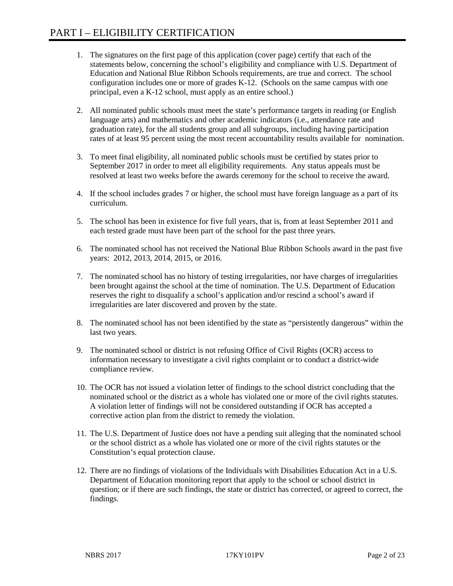- 1. The signatures on the first page of this application (cover page) certify that each of the statements below, concerning the school's eligibility and compliance with U.S. Department of Education and National Blue Ribbon Schools requirements, are true and correct. The school configuration includes one or more of grades K-12. (Schools on the same campus with one principal, even a K-12 school, must apply as an entire school.)
- 2. All nominated public schools must meet the state's performance targets in reading (or English language arts) and mathematics and other academic indicators (i.e., attendance rate and graduation rate), for the all students group and all subgroups, including having participation rates of at least 95 percent using the most recent accountability results available for nomination.
- 3. To meet final eligibility, all nominated public schools must be certified by states prior to September 2017 in order to meet all eligibility requirements. Any status appeals must be resolved at least two weeks before the awards ceremony for the school to receive the award.
- 4. If the school includes grades 7 or higher, the school must have foreign language as a part of its curriculum.
- 5. The school has been in existence for five full years, that is, from at least September 2011 and each tested grade must have been part of the school for the past three years.
- 6. The nominated school has not received the National Blue Ribbon Schools award in the past five years: 2012, 2013, 2014, 2015, or 2016.
- 7. The nominated school has no history of testing irregularities, nor have charges of irregularities been brought against the school at the time of nomination. The U.S. Department of Education reserves the right to disqualify a school's application and/or rescind a school's award if irregularities are later discovered and proven by the state.
- 8. The nominated school has not been identified by the state as "persistently dangerous" within the last two years.
- 9. The nominated school or district is not refusing Office of Civil Rights (OCR) access to information necessary to investigate a civil rights complaint or to conduct a district-wide compliance review.
- 10. The OCR has not issued a violation letter of findings to the school district concluding that the nominated school or the district as a whole has violated one or more of the civil rights statutes. A violation letter of findings will not be considered outstanding if OCR has accepted a corrective action plan from the district to remedy the violation.
- 11. The U.S. Department of Justice does not have a pending suit alleging that the nominated school or the school district as a whole has violated one or more of the civil rights statutes or the Constitution's equal protection clause.
- 12. There are no findings of violations of the Individuals with Disabilities Education Act in a U.S. Department of Education monitoring report that apply to the school or school district in question; or if there are such findings, the state or district has corrected, or agreed to correct, the findings.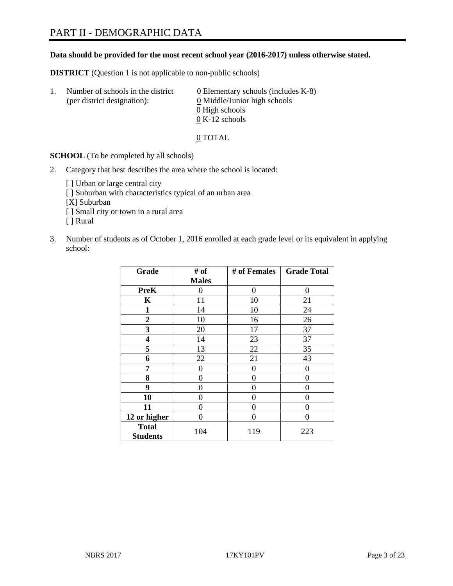### **Data should be provided for the most recent school year (2016-2017) unless otherwise stated.**

**DISTRICT** (Question 1 is not applicable to non-public schools)

| -1. | Number of schools in the district<br>(per district designation): | $\underline{0}$ Elementary schools (includes K-8)<br>0 Middle/Junior high schools |
|-----|------------------------------------------------------------------|-----------------------------------------------------------------------------------|
|     |                                                                  | 0 High schools                                                                    |
|     |                                                                  | $0 K-12$ schools                                                                  |

0 TOTAL

**SCHOOL** (To be completed by all schools)

2. Category that best describes the area where the school is located:

[] Urban or large central city [ ] Suburban with characteristics typical of an urban area [X] Suburban [ ] Small city or town in a rural area [ ] Rural

3. Number of students as of October 1, 2016 enrolled at each grade level or its equivalent in applying school:

| Grade                           | # of         | # of Females | <b>Grade Total</b> |
|---------------------------------|--------------|--------------|--------------------|
|                                 | <b>Males</b> |              |                    |
| <b>PreK</b>                     | 0            | $\theta$     | 0                  |
| $\mathbf K$                     | 11           | 10           | 21                 |
| $\mathbf{1}$                    | 14           | 10           | 24                 |
| $\overline{2}$                  | 10           | 16           | 26                 |
| 3                               | 20           | 17           | 37                 |
| 4                               | 14           | 23           | 37                 |
| 5                               | 13           | 22           | 35                 |
| 6                               | 22           | 21           | 43                 |
| 7                               | 0            | $\theta$     | 0                  |
| 8                               | 0            | 0            | 0                  |
| 9                               | 0            | 0            | 0                  |
| 10                              | 0            | 0            | 0                  |
| 11                              | 0            | 0            | $\mathbf{\Omega}$  |
| 12 or higher                    | 0            | 0            | 0                  |
| <b>Total</b><br><b>Students</b> | 104          | 119          | 223                |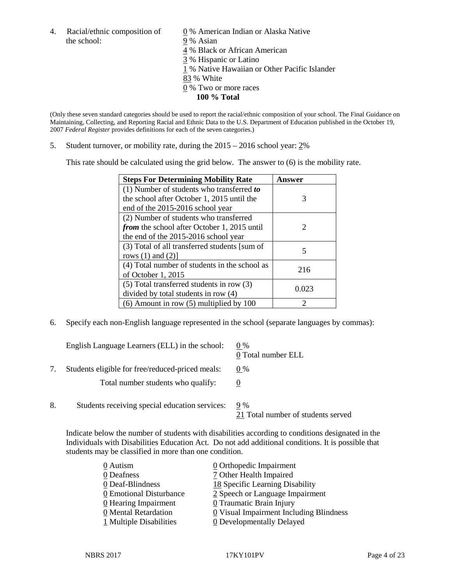4. Racial/ethnic composition of  $\qquad 0\%$  American Indian or Alaska Native the school: 9% Asian

 % Black or African American % Hispanic or Latino % Native Hawaiian or Other Pacific Islander 83 % White % Two or more races **100 % Total**

(Only these seven standard categories should be used to report the racial/ethnic composition of your school. The Final Guidance on Maintaining, Collecting, and Reporting Racial and Ethnic Data to the U.S. Department of Education published in the October 19, 2007 *Federal Register* provides definitions for each of the seven categories.)

5. Student turnover, or mobility rate, during the 2015 – 2016 school year: 2%

This rate should be calculated using the grid below. The answer to (6) is the mobility rate.

| <b>Steps For Determining Mobility Rate</b>         | Answer |
|----------------------------------------------------|--------|
| $(1)$ Number of students who transferred to        |        |
| the school after October 1, 2015 until the         | 3      |
| end of the 2015-2016 school year                   |        |
| (2) Number of students who transferred             |        |
| <i>from</i> the school after October 1, 2015 until |        |
| the end of the 2015-2016 school year               |        |
| (3) Total of all transferred students [sum of      | 5      |
| rows $(1)$ and $(2)$ ]                             |        |
| (4) Total number of students in the school as      | 216    |
| of October 1, 2015                                 |        |
| $(5)$ Total transferred students in row $(3)$      | 0.023  |
| divided by total students in row (4)               |        |
| $(6)$ Amount in row $(5)$ multiplied by 100        | っ      |

6. Specify each non-English language represented in the school (separate languages by commas):

|    | English Language Learners (ELL) in the school:   | $0\%$<br>0 Total number ELL               |
|----|--------------------------------------------------|-------------------------------------------|
|    | Students eligible for free/reduced-priced meals: | $0\%$                                     |
|    | Total number students who qualify:               |                                           |
| 8. | Students receiving special education services:   | 9 %<br>21 Total number of students served |

Indicate below the number of students with disabilities according to conditions designated in the Individuals with Disabilities Education Act. Do not add additional conditions. It is possible that students may be classified in more than one condition.

| 0 Autism                           | 0 Orthopedic Impairment                   |
|------------------------------------|-------------------------------------------|
| 0 Deafness                         | 7 Other Health Impaired                   |
| 0 Deaf-Blindness                   | 18 Specific Learning Disability           |
| 0 Emotional Disturbance            | 2 Speech or Language Impairment           |
| $\underline{0}$ Hearing Impairment | 0 Traumatic Brain Injury                  |
| 0 Mental Retardation               | $Q$ Visual Impairment Including Blindness |
| 1 Multiple Disabilities            | <b>0</b> Developmentally Delayed          |
|                                    |                                           |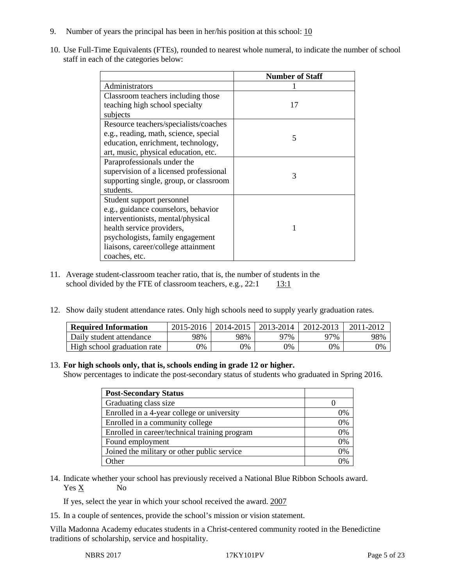- 9. Number of years the principal has been in her/his position at this school:  $\frac{10}{10}$
- 10. Use Full-Time Equivalents (FTEs), rounded to nearest whole numeral, to indicate the number of school staff in each of the categories below:

|                                        | <b>Number of Staff</b> |
|----------------------------------------|------------------------|
| Administrators                         |                        |
| Classroom teachers including those     |                        |
| teaching high school specialty         | 17                     |
| subjects                               |                        |
| Resource teachers/specialists/coaches  |                        |
| e.g., reading, math, science, special  | 5                      |
| education, enrichment, technology,     |                        |
| art, music, physical education, etc.   |                        |
| Paraprofessionals under the            |                        |
| supervision of a licensed professional | 3                      |
| supporting single, group, or classroom |                        |
| students.                              |                        |
| Student support personnel              |                        |
| e.g., guidance counselors, behavior    |                        |
| interventionists, mental/physical      |                        |
| health service providers,              |                        |
| psychologists, family engagement       |                        |
| liaisons, career/college attainment    |                        |
| coaches, etc.                          |                        |

- 11. Average student-classroom teacher ratio, that is, the number of students in the school divided by the FTE of classroom teachers, e.g.,  $22:1$  13:1
- 12. Show daily student attendance rates. Only high schools need to supply yearly graduation rates.

| <b>Required Information</b> | $2015 - 2016$ |     | 2014-2015   2013-2014 | 2012-2013 | 2011-2012 |
|-----------------------------|---------------|-----|-----------------------|-----------|-----------|
| Daily student attendance    | 98%           | 98% | 97%                   | 97%       | 98%       |
| High school graduation rate | 9%            | 0%  | 0%                    | 9%        | 0%        |

### 13. **For high schools only, that is, schools ending in grade 12 or higher.**

Show percentages to indicate the post-secondary status of students who graduated in Spring 2016.

| <b>Post-Secondary Status</b>                  |    |
|-----------------------------------------------|----|
| Graduating class size                         |    |
| Enrolled in a 4-year college or university    | 0% |
| Enrolled in a community college               | 0% |
| Enrolled in career/technical training program | 0% |
| Found employment                              | 0% |
| Joined the military or other public service   | 0% |
| )ther                                         | 0% |

14. Indicate whether your school has previously received a National Blue Ribbon Schools award. Yes X No

If yes, select the year in which your school received the award. 2007

15. In a couple of sentences, provide the school's mission or vision statement.

Villa Madonna Academy educates students in a Christ-centered community rooted in the Benedictine traditions of scholarship, service and hospitality.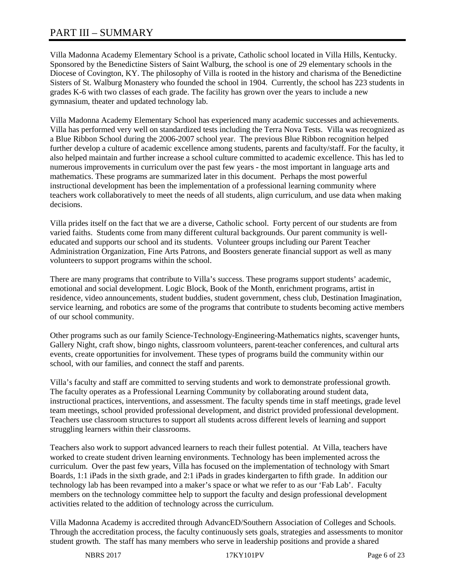# PART III – SUMMARY

Villa Madonna Academy Elementary School is a private, Catholic school located in Villa Hills, Kentucky. Sponsored by the Benedictine Sisters of Saint Walburg, the school is one of 29 elementary schools in the Diocese of Covington, KY. The philosophy of Villa is rooted in the history and charisma of the Benedictine Sisters of St. Walburg Monastery who founded the school in 1904. Currently, the school has 223 students in grades K-6 with two classes of each grade. The facility has grown over the years to include a new gymnasium, theater and updated technology lab.

Villa Madonna Academy Elementary School has experienced many academic successes and achievements. Villa has performed very well on standardized tests including the Terra Nova Tests. Villa was recognized as a Blue Ribbon School during the 2006-2007 school year. The previous Blue Ribbon recognition helped further develop a culture of academic excellence among students, parents and faculty/staff. For the faculty, it also helped maintain and further increase a school culture committed to academic excellence. This has led to numerous improvements in curriculum over the past few years - the most important in language arts and mathematics. These programs are summarized later in this document. Perhaps the most powerful instructional development has been the implementation of a professional learning community where teachers work collaboratively to meet the needs of all students, align curriculum, and use data when making decisions.

Villa prides itself on the fact that we are a diverse, Catholic school. Forty percent of our students are from varied faiths. Students come from many different cultural backgrounds. Our parent community is welleducated and supports our school and its students. Volunteer groups including our Parent Teacher Administration Organization, Fine Arts Patrons, and Boosters generate financial support as well as many volunteers to support programs within the school.

There are many programs that contribute to Villa's success. These programs support students' academic, emotional and social development. Logic Block, Book of the Month, enrichment programs, artist in residence, video announcements, student buddies, student government, chess club, Destination Imagination, service learning, and robotics are some of the programs that contribute to students becoming active members of our school community.

Other programs such as our family Science-Technology-Engineering-Mathematics nights, scavenger hunts, Gallery Night, craft show, bingo nights, classroom volunteers, parent-teacher conferences, and cultural arts events, create opportunities for involvement. These types of programs build the community within our school, with our families, and connect the staff and parents.

Villa's faculty and staff are committed to serving students and work to demonstrate professional growth. The faculty operates as a Professional Learning Community by collaborating around student data, instructional practices, interventions, and assessment. The faculty spends time in staff meetings, grade level team meetings, school provided professional development, and district provided professional development. Teachers use classroom structures to support all students across different levels of learning and support struggling learners within their classrooms.

Teachers also work to support advanced learners to reach their fullest potential. At Villa, teachers have worked to create student driven learning environments. Technology has been implemented across the curriculum. Over the past few years, Villa has focused on the implementation of technology with Smart Boards, 1:1 iPads in the sixth grade, and 2:1 iPads in grades kindergarten to fifth grade. In addition our technology lab has been revamped into a maker's space or what we refer to as our 'Fab Lab'. Faculty members on the technology committee help to support the faculty and design professional development activities related to the addition of technology across the curriculum.

Villa Madonna Academy is accredited through AdvancED/Southern Association of Colleges and Schools. Through the accreditation process, the faculty continuously sets goals, strategies and assessments to monitor student growth. The staff has many members who serve in leadership positions and provide a shared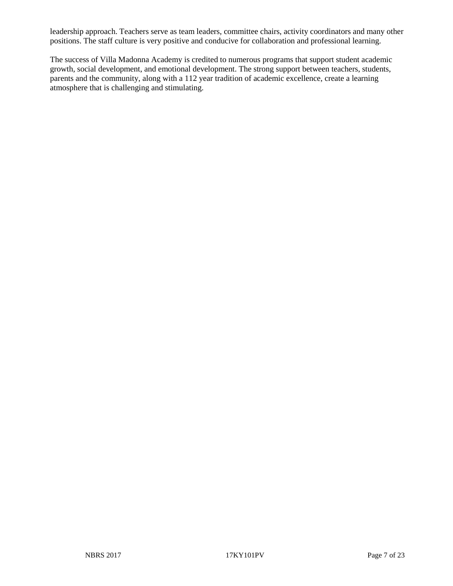leadership approach. Teachers serve as team leaders, committee chairs, activity coordinators and many other positions. The staff culture is very positive and conducive for collaboration and professional learning.

The success of Villa Madonna Academy is credited to numerous programs that support student academic growth, social development, and emotional development. The strong support between teachers, students, parents and the community, along with a 112 year tradition of academic excellence, create a learning atmosphere that is challenging and stimulating.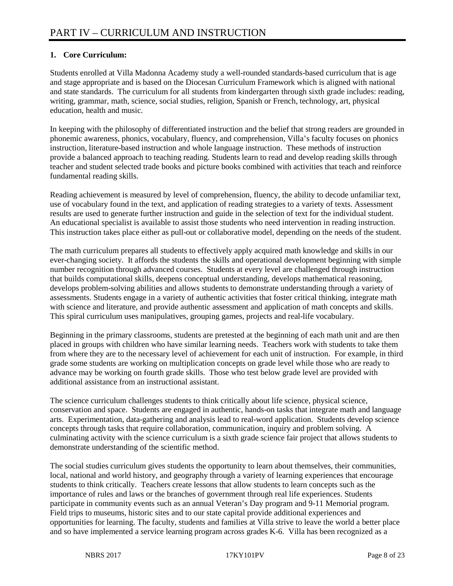### **1. Core Curriculum:**

Students enrolled at Villa Madonna Academy study a well-rounded standards-based curriculum that is age and stage appropriate and is based on the Diocesan Curriculum Framework which is aligned with national and state standards. The curriculum for all students from kindergarten through sixth grade includes: reading, writing, grammar, math, science, social studies, religion, Spanish or French, technology, art, physical education, health and music.

In keeping with the philosophy of differentiated instruction and the belief that strong readers are grounded in phonemic awareness, phonics, vocabulary, fluency, and comprehension, Villa's faculty focuses on phonics instruction, literature-based instruction and whole language instruction. These methods of instruction provide a balanced approach to teaching reading. Students learn to read and develop reading skills through teacher and student selected trade books and picture books combined with activities that teach and reinforce fundamental reading skills.

Reading achievement is measured by level of comprehension, fluency, the ability to decode unfamiliar text, use of vocabulary found in the text, and application of reading strategies to a variety of texts. Assessment results are used to generate further instruction and guide in the selection of text for the individual student. An educational specialist is available to assist those students who need intervention in reading instruction. This instruction takes place either as pull-out or collaborative model, depending on the needs of the student.

The math curriculum prepares all students to effectively apply acquired math knowledge and skills in our ever-changing society. It affords the students the skills and operational development beginning with simple number recognition through advanced courses. Students at every level are challenged through instruction that builds computational skills, deepens conceptual understanding, develops mathematical reasoning, develops problem-solving abilities and allows students to demonstrate understanding through a variety of assessments. Students engage in a variety of authentic activities that foster critical thinking, integrate math with science and literature, and provide authentic assessment and application of math concepts and skills. This spiral curriculum uses manipulatives, grouping games, projects and real-life vocabulary.

Beginning in the primary classrooms, students are pretested at the beginning of each math unit and are then placed in groups with children who have similar learning needs. Teachers work with students to take them from where they are to the necessary level of achievement for each unit of instruction. For example, in third grade some students are working on multiplication concepts on grade level while those who are ready to advance may be working on fourth grade skills. Those who test below grade level are provided with additional assistance from an instructional assistant.

The science curriculum challenges students to think critically about life science, physical science, conservation and space. Students are engaged in authentic, hands-on tasks that integrate math and language arts. Experimentation, data-gathering and analysis lead to real-word application. Students develop science concepts through tasks that require collaboration, communication, inquiry and problem solving. A culminating activity with the science curriculum is a sixth grade science fair project that allows students to demonstrate understanding of the scientific method.

The social studies curriculum gives students the opportunity to learn about themselves, their communities, local, national and world history, and geography through a variety of learning experiences that encourage students to think critically. Teachers create lessons that allow students to learn concepts such as the importance of rules and laws or the branches of government through real life experiences. Students participate in community events such as an annual Veteran's Day program and 9-11 Memorial program. Field trips to museums, historic sites and to our state capital provide additional experiences and opportunities for learning. The faculty, students and families at Villa strive to leave the world a better place and so have implemented a service learning program across grades K-6. Villa has been recognized as a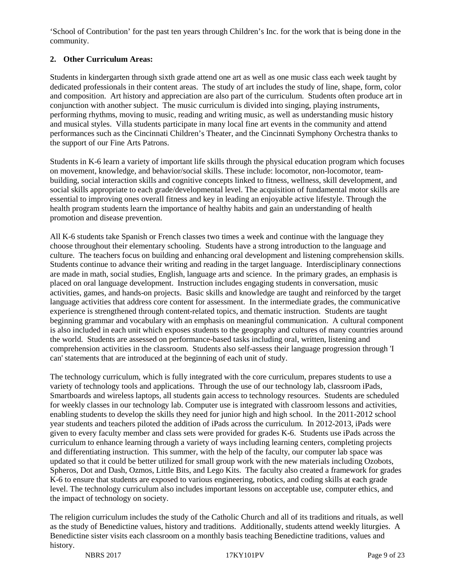'School of Contribution' for the past ten years through Children's Inc. for the work that is being done in the community.

## **2. Other Curriculum Areas:**

Students in kindergarten through sixth grade attend one art as well as one music class each week taught by dedicated professionals in their content areas. The study of art includes the study of line, shape, form, color and composition. Art history and appreciation are also part of the curriculum. Students often produce art in conjunction with another subject. The music curriculum is divided into singing, playing instruments, performing rhythms, moving to music, reading and writing music, as well as understanding music history and musical styles. Villa students participate in many local fine art events in the community and attend performances such as the Cincinnati Children's Theater, and the Cincinnati Symphony Orchestra thanks to the support of our Fine Arts Patrons.

Students in K-6 learn a variety of important life skills through the physical education program which focuses on movement, knowledge, and behavior/social skills. These include: locomotor, non-locomotor, teambuilding, social interaction skills and cognitive concepts linked to fitness, wellness, skill development, and social skills appropriate to each grade/developmental level. The acquisition of fundamental motor skills are essential to improving ones overall fitness and key in leading an enjoyable active lifestyle. Through the health program students learn the importance of healthy habits and gain an understanding of health promotion and disease prevention.

All K-6 students take Spanish or French classes two times a week and continue with the language they choose throughout their elementary schooling. Students have a strong introduction to the language and culture. The teachers focus on building and enhancing oral development and listening comprehension skills. Students continue to advance their writing and reading in the target language. Interdisciplinary connections are made in math, social studies, English, language arts and science. In the primary grades, an emphasis is placed on oral language development. Instruction includes engaging students in conversation, music activities, games, and hands-on projects. Basic skills and knowledge are taught and reinforced by the target language activities that address core content for assessment. In the intermediate grades, the communicative experience is strengthened through content-related topics, and thematic instruction. Students are taught beginning grammar and vocabulary with an emphasis on meaningful communication. A cultural component is also included in each unit which exposes students to the geography and cultures of many countries around the world. Students are assessed on performance-based tasks including oral, written, listening and comprehension activities in the classroom. Students also self-assess their language progression through 'I can' statements that are introduced at the beginning of each unit of study.

The technology curriculum, which is fully integrated with the core curriculum, prepares students to use a variety of technology tools and applications. Through the use of our technology lab, classroom iPads, Smartboards and wireless laptops, all students gain access to technology resources. Students are scheduled for weekly classes in our technology lab. Computer use is integrated with classroom lessons and activities, enabling students to develop the skills they need for junior high and high school. In the 2011-2012 school year students and teachers piloted the addition of iPads across the curriculum. In 2012-2013, iPads were given to every faculty member and class sets were provided for grades K-6. Students use iPads across the curriculum to enhance learning through a variety of ways including learning centers, completing projects and differentiating instruction. This summer, with the help of the faculty, our computer lab space was updated so that it could be better utilized for small group work with the new materials including Ozobots, Spheros, Dot and Dash, Ozmos, Little Bits, and Lego Kits. The faculty also created a framework for grades K-6 to ensure that students are exposed to various engineering, robotics, and coding skills at each grade level. The technology curriculum also includes important lessons on acceptable use, computer ethics, and the impact of technology on society.

The religion curriculum includes the study of the Catholic Church and all of its traditions and rituals, as well as the study of Benedictine values, history and traditions. Additionally, students attend weekly liturgies. A Benedictine sister visits each classroom on a monthly basis teaching Benedictine traditions, values and history.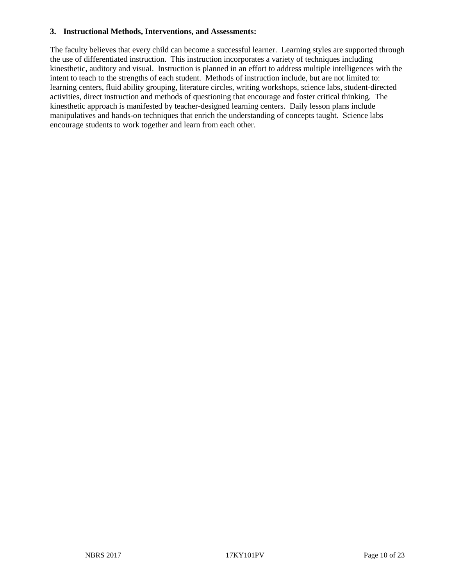#### **3. Instructional Methods, Interventions, and Assessments:**

The faculty believes that every child can become a successful learner. Learning styles are supported through the use of differentiated instruction. This instruction incorporates a variety of techniques including kinesthetic, auditory and visual. Instruction is planned in an effort to address multiple intelligences with the intent to teach to the strengths of each student. Methods of instruction include, but are not limited to: learning centers, fluid ability grouping, literature circles, writing workshops, science labs, student-directed activities, direct instruction and methods of questioning that encourage and foster critical thinking. The kinesthetic approach is manifested by teacher-designed learning centers. Daily lesson plans include manipulatives and hands-on techniques that enrich the understanding of concepts taught. Science labs encourage students to work together and learn from each other.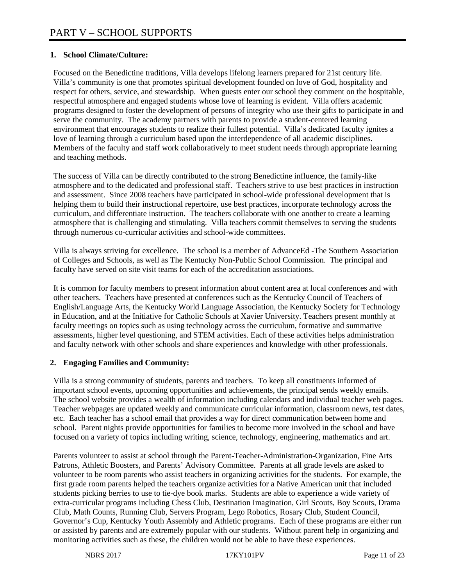### **1. School Climate/Culture:**

Focused on the Benedictine traditions, Villa develops lifelong learners prepared for 21st century life. Villa's community is one that promotes spiritual development founded on love of God, hospitality and respect for others, service, and stewardship. When guests enter our school they comment on the hospitable, respectful atmosphere and engaged students whose love of learning is evident. Villa offers academic programs designed to foster the development of persons of integrity who use their gifts to participate in and serve the community. The academy partners with parents to provide a student-centered learning environment that encourages students to realize their fullest potential. Villa's dedicated faculty ignites a love of learning through a curriculum based upon the interdependence of all academic disciplines. Members of the faculty and staff work collaboratively to meet student needs through appropriate learning and teaching methods.

The success of Villa can be directly contributed to the strong Benedictine influence, the family-like atmosphere and to the dedicated and professional staff. Teachers strive to use best practices in instruction and assessment. Since 2008 teachers have participated in school-wide professional development that is helping them to build their instructional repertoire, use best practices, incorporate technology across the curriculum, and differentiate instruction. The teachers collaborate with one another to create a learning atmosphere that is challenging and stimulating. Villa teachers commit themselves to serving the students through numerous co-curricular activities and school-wide committees.

Villa is always striving for excellence. The school is a member of AdvanceEd -The Southern Association of Colleges and Schools, as well as The Kentucky Non-Public School Commission. The principal and faculty have served on site visit teams for each of the accreditation associations.

It is common for faculty members to present information about content area at local conferences and with other teachers. Teachers have presented at conferences such as the Kentucky Council of Teachers of English/Language Arts, the Kentucky World Language Association, the Kentucky Society for Technology in Education, and at the Initiative for Catholic Schools at Xavier University. Teachers present monthly at faculty meetings on topics such as using technology across the curriculum, formative and summative assessments, higher level questioning, and STEM activities. Each of these activities helps administration and faculty network with other schools and share experiences and knowledge with other professionals.

### **2. Engaging Families and Community:**

Villa is a strong community of students, parents and teachers. To keep all constituents informed of important school events, upcoming opportunities and achievements, the principal sends weekly emails. The school website provides a wealth of information including calendars and individual teacher web pages. Teacher webpages are updated weekly and communicate curricular information, classroom news, test dates, etc. Each teacher has a school email that provides a way for direct communication between home and school. Parent nights provide opportunities for families to become more involved in the school and have focused on a variety of topics including writing, science, technology, engineering, mathematics and art.

Parents volunteer to assist at school through the Parent-Teacher-Administration-Organization, Fine Arts Patrons, Athletic Boosters, and Parents' Advisory Committee. Parents at all grade levels are asked to volunteer to be room parents who assist teachers in organizing activities for the students. For example, the first grade room parents helped the teachers organize activities for a Native American unit that included students picking berries to use to tie-dye book marks. Students are able to experience a wide variety of extra-curricular programs including Chess Club, Destination Imagination, Girl Scouts, Boy Scouts, Drama Club, Math Counts, Running Club, Servers Program, Lego Robotics, Rosary Club, Student Council, Governor's Cup, Kentucky Youth Assembly and Athletic programs. Each of these programs are either run or assisted by parents and are extremely popular with our students. Without parent help in organizing and monitoring activities such as these, the children would not be able to have these experiences.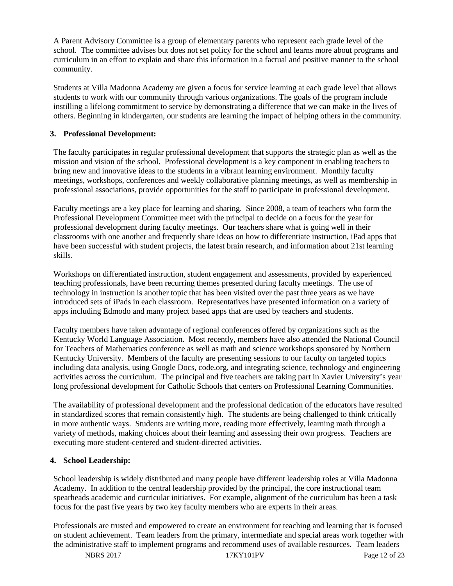A Parent Advisory Committee is a group of elementary parents who represent each grade level of the school. The committee advises but does not set policy for the school and learns more about programs and curriculum in an effort to explain and share this information in a factual and positive manner to the school community.

Students at Villa Madonna Academy are given a focus for service learning at each grade level that allows students to work with our community through various organizations. The goals of the program include instilling a lifelong commitment to service by demonstrating a difference that we can make in the lives of others. Beginning in kindergarten, our students are learning the impact of helping others in the community.

### **3. Professional Development:**

The faculty participates in regular professional development that supports the strategic plan as well as the mission and vision of the school. Professional development is a key component in enabling teachers to bring new and innovative ideas to the students in a vibrant learning environment. Monthly faculty meetings, workshops, conferences and weekly collaborative planning meetings, as well as membership in professional associations, provide opportunities for the staff to participate in professional development.

Faculty meetings are a key place for learning and sharing. Since 2008, a team of teachers who form the Professional Development Committee meet with the principal to decide on a focus for the year for professional development during faculty meetings. Our teachers share what is going well in their classrooms with one another and frequently share ideas on how to differentiate instruction, iPad apps that have been successful with student projects, the latest brain research, and information about 21st learning skills.

Workshops on differentiated instruction, student engagement and assessments, provided by experienced teaching professionals, have been recurring themes presented during faculty meetings. The use of technology in instruction is another topic that has been visited over the past three years as we have introduced sets of iPads in each classroom. Representatives have presented information on a variety of apps including Edmodo and many project based apps that are used by teachers and students.

Faculty members have taken advantage of regional conferences offered by organizations such as the Kentucky World Language Association. Most recently, members have also attended the National Council for Teachers of Mathematics conference as well as math and science workshops sponsored by Northern Kentucky University. Members of the faculty are presenting sessions to our faculty on targeted topics including data analysis, using Google Docs, code.org, and integrating science, technology and engineering activities across the curriculum. The principal and five teachers are taking part in Xavier University's year long professional development for Catholic Schools that centers on Professional Learning Communities.

The availability of professional development and the professional dedication of the educators have resulted in standardized scores that remain consistently high. The students are being challenged to think critically in more authentic ways. Students are writing more, reading more effectively, learning math through a variety of methods, making choices about their learning and assessing their own progress. Teachers are executing more student-centered and student-directed activities.

#### **4. School Leadership:**

School leadership is widely distributed and many people have different leadership roles at Villa Madonna Academy. In addition to the central leadership provided by the principal, the core instructional team spearheads academic and curricular initiatives. For example, alignment of the curriculum has been a task focus for the past five years by two key faculty members who are experts in their areas.

Professionals are trusted and empowered to create an environment for teaching and learning that is focused on student achievement. Team leaders from the primary, intermediate and special areas work together with the administrative staff to implement programs and recommend uses of available resources. Team leaders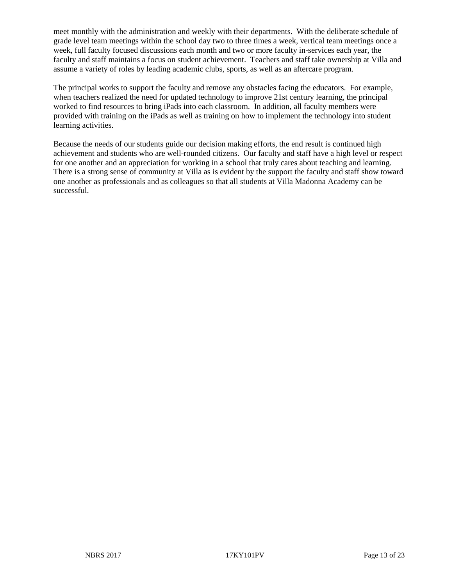meet monthly with the administration and weekly with their departments. With the deliberate schedule of grade level team meetings within the school day two to three times a week, vertical team meetings once a week, full faculty focused discussions each month and two or more faculty in-services each year, the faculty and staff maintains a focus on student achievement. Teachers and staff take ownership at Villa and assume a variety of roles by leading academic clubs, sports, as well as an aftercare program.

The principal works to support the faculty and remove any obstacles facing the educators. For example, when teachers realized the need for updated technology to improve 21st century learning, the principal worked to find resources to bring iPads into each classroom. In addition, all faculty members were provided with training on the iPads as well as training on how to implement the technology into student learning activities.

Because the needs of our students guide our decision making efforts, the end result is continued high achievement and students who are well-rounded citizens. Our faculty and staff have a high level or respect for one another and an appreciation for working in a school that truly cares about teaching and learning. There is a strong sense of community at Villa as is evident by the support the faculty and staff show toward one another as professionals and as colleagues so that all students at Villa Madonna Academy can be successful.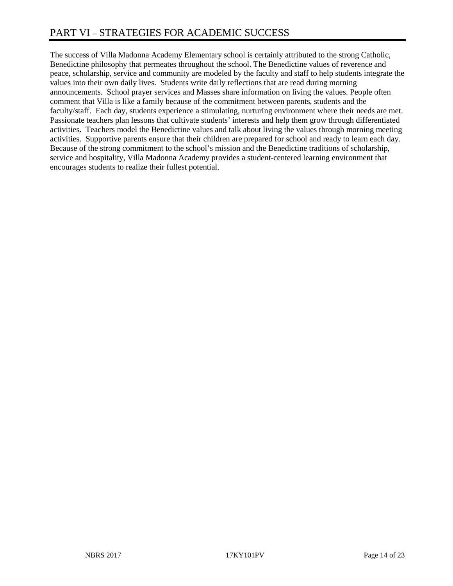The success of Villa Madonna Academy Elementary school is certainly attributed to the strong Catholic, Benedictine philosophy that permeates throughout the school. The Benedictine values of reverence and peace, scholarship, service and community are modeled by the faculty and staff to help students integrate the values into their own daily lives. Students write daily reflections that are read during morning announcements. School prayer services and Masses share information on living the values. People often comment that Villa is like a family because of the commitment between parents, students and the faculty/staff. Each day, students experience a stimulating, nurturing environment where their needs are met. Passionate teachers plan lessons that cultivate students' interests and help them grow through differentiated activities. Teachers model the Benedictine values and talk about living the values through morning meeting activities. Supportive parents ensure that their children are prepared for school and ready to learn each day. Because of the strong commitment to the school's mission and the Benedictine traditions of scholarship, service and hospitality, Villa Madonna Academy provides a student-centered learning environment that encourages students to realize their fullest potential.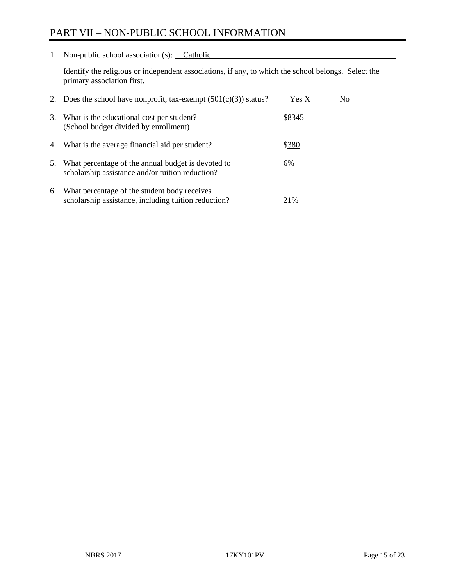# PART VII – NON-PUBLIC SCHOOL INFORMATION

1. Non-public school association(s): Catholic

Identify the religious or independent associations, if any, to which the school belongs. Select the primary association first.

|    | 2. Does the school have nonprofit, tax-exempt $(501(c)(3))$ status?                                    | Yes X  | No. |
|----|--------------------------------------------------------------------------------------------------------|--------|-----|
| 3. | What is the educational cost per student?<br>(School budget divided by enrollment)                     | \$8345 |     |
| 4. | What is the average financial aid per student?                                                         | \$380  |     |
| 5. | What percentage of the annual budget is devoted to<br>scholarship assistance and/or tuition reduction? | 6%     |     |
| 6. | What percentage of the student body receives<br>scholarship assistance, including tuition reduction?   | 21%    |     |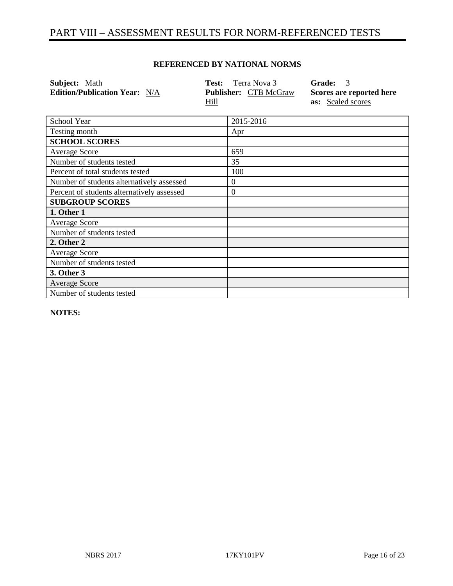# PART VIII – ASSESSMENT RESULTS FOR NORM-REFERENCED TESTS

#### **REFERENCED BY NATIONAL NORMS**

| Subject: Math<br><b>Edition/Publication Year:</b> N/A | Test:<br>Terra Nova 3<br><b>Publisher: CTB McGraw</b> | 3<br><b>Grade:</b><br>Scores are reported here |
|-------------------------------------------------------|-------------------------------------------------------|------------------------------------------------|
|                                                       | Hill                                                  | as: Scaled scores                              |
| School Year                                           | 2015-2016                                             |                                                |
| Testing month                                         | Apr                                                   |                                                |
| <b>SCHOOL SCORES</b>                                  |                                                       |                                                |
| <b>Average Score</b>                                  | 659                                                   |                                                |
| Number of students tested                             | 35                                                    |                                                |
| Percent of total students tested                      | 100                                                   |                                                |
| Number of students alternatively assessed             | $^{(1)}$                                              |                                                |
| Percent of students alternatively assessed            | 0                                                     |                                                |
| <b>SUBGROUP SCORES</b>                                |                                                       |                                                |
| 1. Other 1                                            |                                                       |                                                |
| <b>Average Score</b>                                  |                                                       |                                                |

**NOTES:** 

**2. Other 2** Average Score

**3. Other 3** Average Score

Number of students tested

Number of students tested

Number of students tested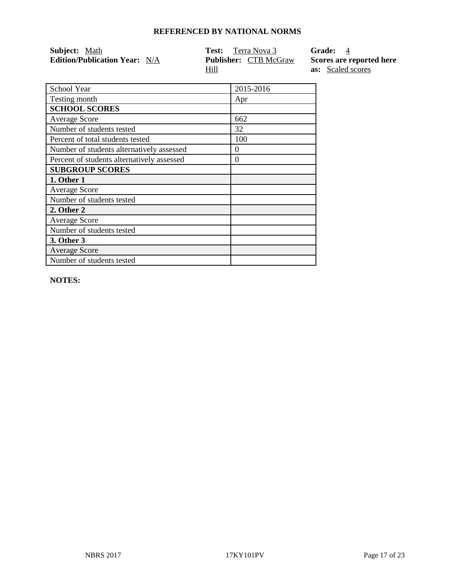| <b>Subject:</b> Math                 | <b>Test:</b> Terra Nova 3    | Grade: 4                 |
|--------------------------------------|------------------------------|--------------------------|
| <b>Edition/Publication Year:</b> N/A | <b>Publisher:</b> CTB McGraw | Scores are reported here |
|                                      | Hill                         | <b>as:</b> Scaled scores |

| School Year                                | 2015-2016 |
|--------------------------------------------|-----------|
| Testing month                              | Apr       |
| <b>SCHOOL SCORES</b>                       |           |
| <b>Average Score</b>                       | 662       |
| Number of students tested                  | 32        |
| Percent of total students tested           | 100       |
| Number of students alternatively assessed  | 0         |
| Percent of students alternatively assessed | 0         |
| <b>SUBGROUP SCORES</b>                     |           |
| 1. Other 1                                 |           |
| <b>Average Score</b>                       |           |
| Number of students tested                  |           |
| 2. Other 2                                 |           |
| <b>Average Score</b>                       |           |
| Number of students tested                  |           |
| 3. Other 3                                 |           |
| <b>Average Score</b>                       |           |
| Number of students tested                  |           |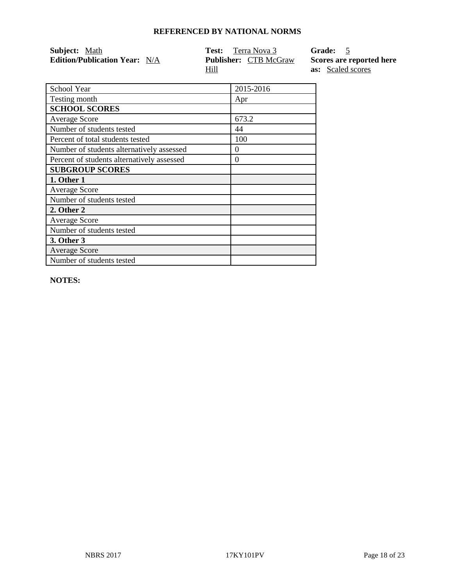| <b>Subject:</b> Math                 | <b>Test:</b> Terra Nova 3    | Grade: 5                 |
|--------------------------------------|------------------------------|--------------------------|
| <b>Edition/Publication Year:</b> N/A | <b>Publisher:</b> CTB McGraw | Scores are reported here |
|                                      | Hill                         | <b>as:</b> Scaled scores |

| School Year                                | 2015-2016 |
|--------------------------------------------|-----------|
| Testing month                              | Apr       |
| <b>SCHOOL SCORES</b>                       |           |
| <b>Average Score</b>                       | 673.2     |
| Number of students tested                  | 44        |
| Percent of total students tested           | 100       |
| Number of students alternatively assessed  | 0         |
| Percent of students alternatively assessed | 0         |
| <b>SUBGROUP SCORES</b>                     |           |
| 1. Other 1                                 |           |
| <b>Average Score</b>                       |           |
| Number of students tested                  |           |
| 2. Other 2                                 |           |
| <b>Average Score</b>                       |           |
| Number of students tested                  |           |
| 3. Other 3                                 |           |
| <b>Average Score</b>                       |           |
| Number of students tested                  |           |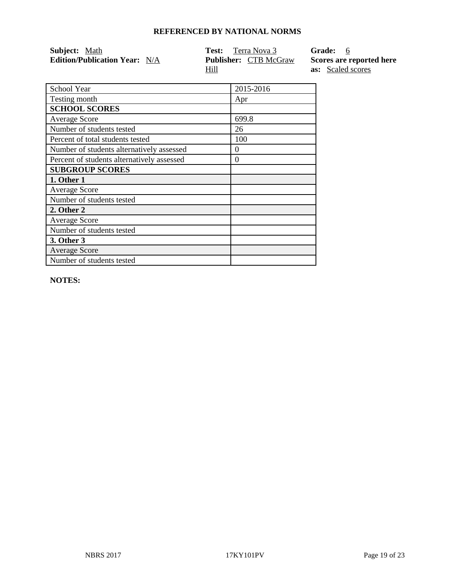| <b>Subject:</b> Math                 | <b>Test:</b> Terra Nova 3    | Grade: 6                 |
|--------------------------------------|------------------------------|--------------------------|
| <b>Edition/Publication Year:</b> N/A | <b>Publisher:</b> CTB McGraw | Scores are reported here |
|                                      | Hill                         | <b>as:</b> Scaled scores |

| School Year                                | 2015-2016 |
|--------------------------------------------|-----------|
| Testing month                              | Apr       |
| <b>SCHOOL SCORES</b>                       |           |
| <b>Average Score</b>                       | 699.8     |
| Number of students tested                  | 26        |
| Percent of total students tested           | 100       |
| Number of students alternatively assessed  | 0         |
| Percent of students alternatively assessed | 0         |
| <b>SUBGROUP SCORES</b>                     |           |
| 1. Other 1                                 |           |
| <b>Average Score</b>                       |           |
| Number of students tested                  |           |
| 2. Other 2                                 |           |
| <b>Average Score</b>                       |           |
| Number of students tested                  |           |
| 3. Other 3                                 |           |
| <b>Average Score</b>                       |           |
| Number of students tested                  |           |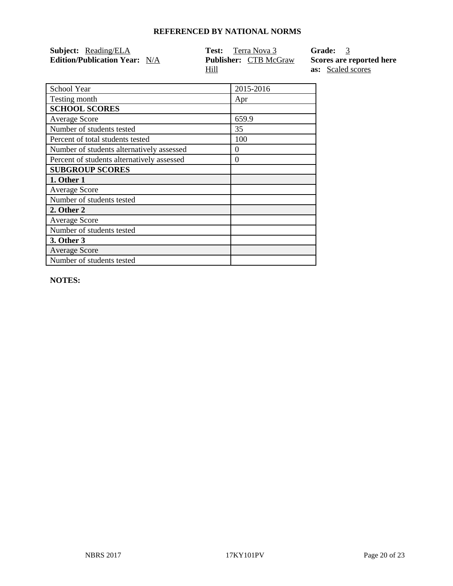| <b>Subject:</b> Reading/ELA          | <b>Test:</b> Terra Nova 3    | Grade: 3                 |
|--------------------------------------|------------------------------|--------------------------|
| <b>Edition/Publication Year:</b> N/A | <b>Publisher:</b> CTB McGraw | Scores are reported here |
|                                      | Hill                         | <b>as:</b> Scaled scores |

| School Year                                | 2015-2016 |
|--------------------------------------------|-----------|
| Testing month                              | Apr       |
| <b>SCHOOL SCORES</b>                       |           |
| <b>Average Score</b>                       | 659.9     |
| Number of students tested                  | 35        |
| Percent of total students tested           | 100       |
| Number of students alternatively assessed  | 0         |
| Percent of students alternatively assessed | 0         |
| <b>SUBGROUP SCORES</b>                     |           |
| 1. Other 1                                 |           |
| <b>Average Score</b>                       |           |
| Number of students tested                  |           |
| 2. Other 2                                 |           |
| <b>Average Score</b>                       |           |
| Number of students tested                  |           |
| 3. Other 3                                 |           |
| <b>Average Score</b>                       |           |
| Number of students tested                  |           |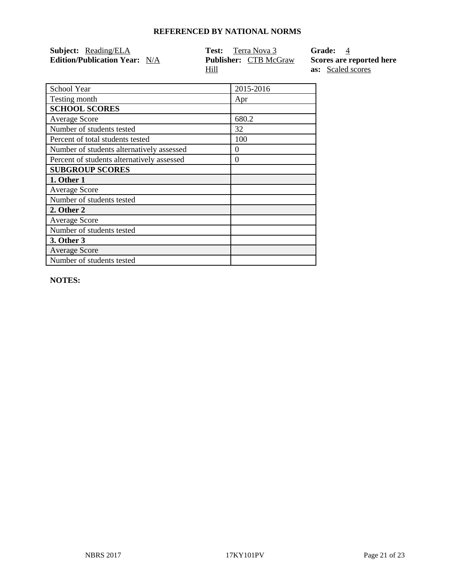| <b>Subject:</b> Reading/ELA          | <b>Test:</b> Terra Nova 3    | Grade: 4                 |
|--------------------------------------|------------------------------|--------------------------|
| <b>Edition/Publication Year:</b> N/A | <b>Publisher:</b> CTB McGraw | Scores are reported here |
|                                      | Hill                         | <b>as:</b> Scaled scores |

| School Year                                | 2015-2016 |
|--------------------------------------------|-----------|
| Testing month                              | Apr       |
| <b>SCHOOL SCORES</b>                       |           |
| <b>Average Score</b>                       | 680.2     |
| Number of students tested                  | 32        |
| Percent of total students tested           | 100       |
| Number of students alternatively assessed  | 0         |
| Percent of students alternatively assessed | $\theta$  |
| <b>SUBGROUP SCORES</b>                     |           |
| 1. Other 1                                 |           |
| <b>Average Score</b>                       |           |
| Number of students tested                  |           |
| 2. Other 2                                 |           |
| <b>Average Score</b>                       |           |
| Number of students tested                  |           |
| 3. Other 3                                 |           |
| <b>Average Score</b>                       |           |
| Number of students tested                  |           |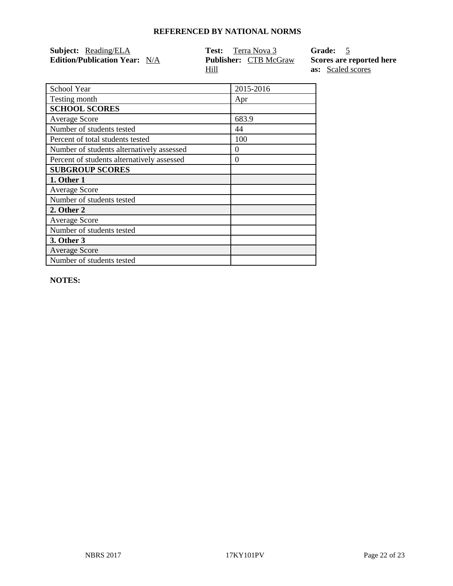| <b>Subject:</b> Reading/ELA          | <b>Test:</b> Terra Nova 3    | Grade: 5                 |
|--------------------------------------|------------------------------|--------------------------|
| <b>Edition/Publication Year:</b> N/A | <b>Publisher:</b> CTB McGraw | Scores are reported here |
|                                      | Hill                         | <b>as:</b> Scaled scores |

| School Year                                | 2015-2016 |
|--------------------------------------------|-----------|
| Testing month                              | Apr       |
| <b>SCHOOL SCORES</b>                       |           |
| <b>Average Score</b>                       | 683.9     |
| Number of students tested                  | 44        |
| Percent of total students tested           | 100       |
| Number of students alternatively assessed  | $\theta$  |
| Percent of students alternatively assessed | 0         |
| <b>SUBGROUP SCORES</b>                     |           |
| 1. Other 1                                 |           |
| <b>Average Score</b>                       |           |
| Number of students tested                  |           |
| 2. Other 2                                 |           |
| <b>Average Score</b>                       |           |
| Number of students tested                  |           |
| 3. Other 3                                 |           |
| <b>Average Score</b>                       |           |
| Number of students tested                  |           |